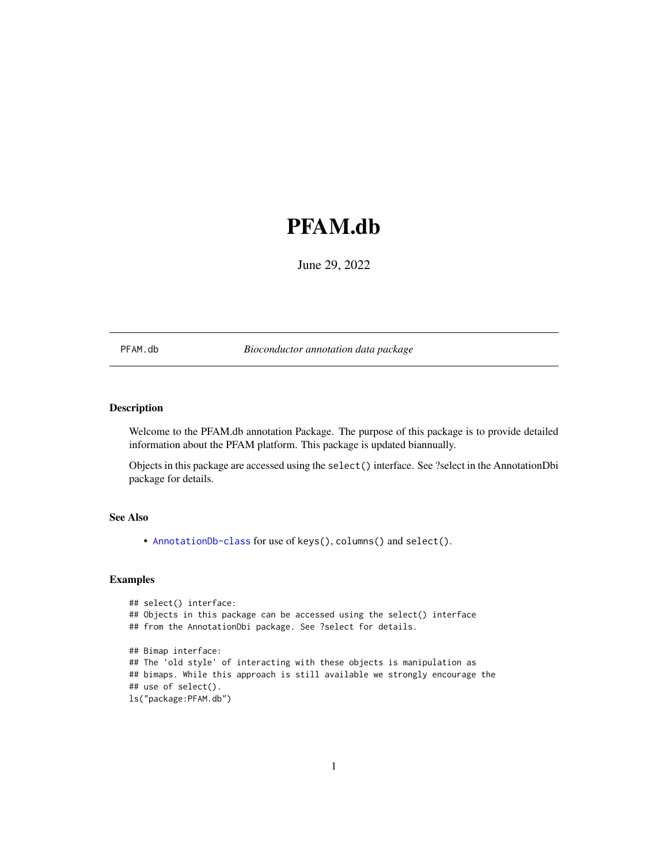# <span id="page-0-1"></span><span id="page-0-0"></span>PFAM.db

June 29, 2022

PFAM.db *Bioconductor annotation data package*

# Description

Welcome to the PFAM.db annotation Package. The purpose of this package is to provide detailed information about the PFAM platform. This package is updated biannually.

Objects in this package are accessed using the select() interface. See ?select in the AnnotationDbi package for details.

# See Also

• AnnotationDb-class for use of keys(), columns() and select().

```
## select() interface:
## Objects in this package can be accessed using the select() interface
## from the AnnotationDbi package. See ?select for details.
## Bimap interface:
## The 'old style' of interacting with these objects is manipulation as
## bimaps. While this approach is still available we strongly encourage the
## use of select().
ls("package:PFAM.db")
```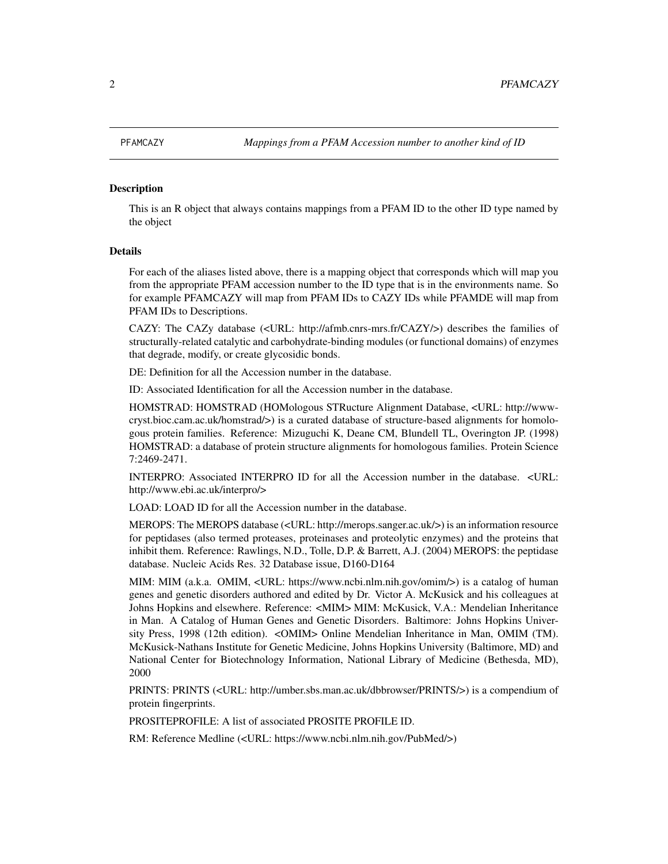<span id="page-1-0"></span>This is an R object that always contains mappings from a PFAM ID to the other ID type named by the object

# Details

For each of the aliases listed above, there is a mapping object that corresponds which will map you from the appropriate PFAM accession number to the ID type that is in the environments name. So for example PFAMCAZY will map from PFAM IDs to CAZY IDs while PFAMDE will map from PFAM IDs to Descriptions.

CAZY: The CAZy database (<URL: http://afmb.cnrs-mrs.fr/CAZY/>) describes the families of structurally-related catalytic and carbohydrate-binding modules (or functional domains) of enzymes that degrade, modify, or create glycosidic bonds.

DE: Definition for all the Accession number in the database.

ID: Associated Identification for all the Accession number in the database.

HOMSTRAD: HOMSTRAD (HOMologous STRucture Alignment Database, <URL: http://wwwcryst.bioc.cam.ac.uk/homstrad/>) is a curated database of structure-based alignments for homologous protein families. Reference: Mizuguchi K, Deane CM, Blundell TL, Overington JP. (1998) HOMSTRAD: a database of protein structure alignments for homologous families. Protein Science 7:2469-2471.

INTERPRO: Associated INTERPRO ID for all the Accession number in the database. <URL: http://www.ebi.ac.uk/interpro/>

LOAD: LOAD ID for all the Accession number in the database.

MEROPS: The MEROPS database (<URL: http://merops.sanger.ac.uk/>) is an information resource for peptidases (also termed proteases, proteinases and proteolytic enzymes) and the proteins that inhibit them. Reference: Rawlings, N.D., Tolle, D.P. & Barrett, A.J. (2004) MEROPS: the peptidase database. Nucleic Acids Res. 32 Database issue, D160-D164

MIM: MIM (a.k.a. OMIM, <URL: https://www.ncbi.nlm.nih.gov/omim/>) is a catalog of human genes and genetic disorders authored and edited by Dr. Victor A. McKusick and his colleagues at Johns Hopkins and elsewhere. Reference: <MIM> MIM: McKusick, V.A.: Mendelian Inheritance in Man. A Catalog of Human Genes and Genetic Disorders. Baltimore: Johns Hopkins University Press, 1998 (12th edition). <OMIM> Online Mendelian Inheritance in Man, OMIM (TM). McKusick-Nathans Institute for Genetic Medicine, Johns Hopkins University (Baltimore, MD) and National Center for Biotechnology Information, National Library of Medicine (Bethesda, MD), 2000

PRINTS: PRINTS (<URL: http://umber.sbs.man.ac.uk/dbbrowser/PRINTS/>) is a compendium of protein fingerprints.

PROSITEPROFILE: A list of associated PROSITE PROFILE ID.

RM: Reference Medline (<URL: https://www.ncbi.nlm.nih.gov/PubMed/>)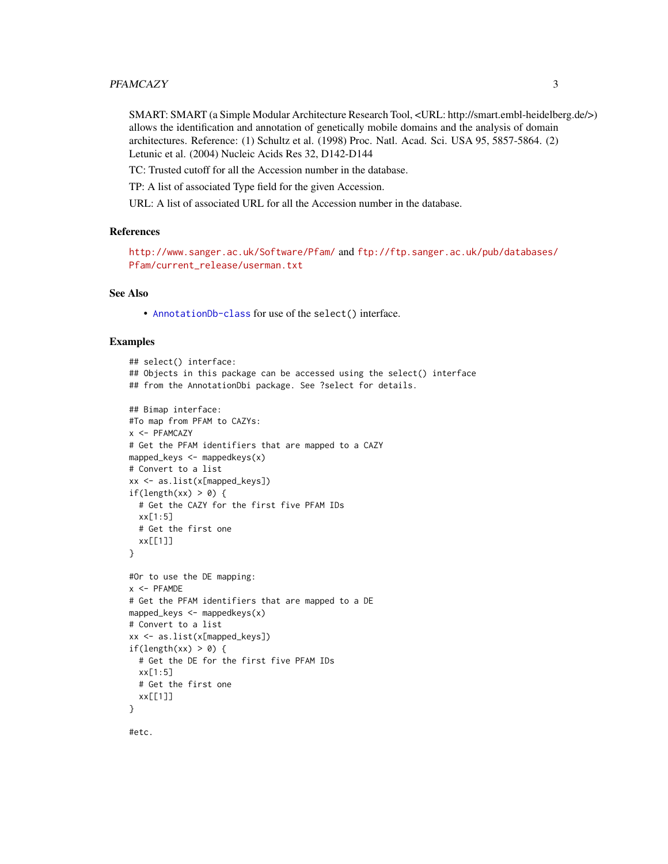#### PFAMCAZY 3

SMART: SMART (a Simple Modular Architecture Research Tool, <URL: http://smart.embl-heidelberg.de/>) allows the identification and annotation of genetically mobile domains and the analysis of domain architectures. Reference: (1) Schultz et al. (1998) Proc. Natl. Acad. Sci. USA 95, 5857-5864. (2) Letunic et al. (2004) Nucleic Acids Res 32, D142-D144

TC: Trusted cutoff for all the Accession number in the database.

TP: A list of associated Type field for the given Accession.

URL: A list of associated URL for all the Accession number in the database.

# **References**

```
http://www.sanger.ac.uk/Software/Pfam/ and ftp://ftp.sanger.ac.uk/pub/databases/
Pfam/current_release/userman.txt
```
### See Also

• [AnnotationDb-class](#page-0-0) for use of the select() interface.

#### Examples

```
## select() interface:
## Objects in this package can be accessed using the select() interface
## from the AnnotationDbi package. See ?select for details.
## Bimap interface:
#To map from PFAM to CAZYs:
x <- PFAMCAZY
# Get the PFAM identifiers that are mapped to a CAZY
mapped_keys \leq mappedkeys(x)
# Convert to a list
xx <- as.list(x[mapped_keys])
if(length(xx) > 0) {
  # Get the CAZY for the first five PFAM IDs
  xx[1:5]
  # Get the first one
  xx[[1]]
}
#Or to use the DE mapping:
x < - PFAMDE
# Get the PFAM identifiers that are mapped to a DE
mapped_keys <- mappedkeys(x)
# Convert to a list
xx <- as.list(x[mapped_keys])
if(length(xx) > 0) {
  # Get the DE for the first five PFAM IDs
  xx[1:5]
  # Get the first one
  xx[[1]]
}
```
#etc.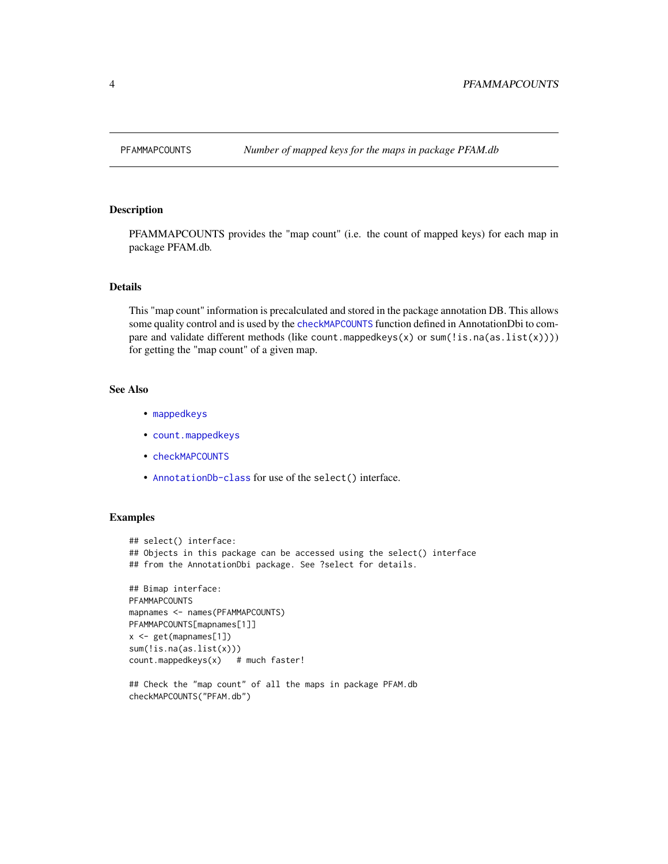<span id="page-3-0"></span>

PFAMMAPCOUNTS provides the "map count" (i.e. the count of mapped keys) for each map in package PFAM.db.

### Details

This "map count" information is precalculated and stored in the package annotation DB. This allows some quality control and is used by the [checkMAPCOUNTS](#page-0-0) function defined in AnnotationDbi to compare and validate different methods (like count.mappedkeys $(x)$  or sum $(\exists s.na(as.list(x))))$ ) for getting the "map count" of a given map.

# See Also

- [mappedkeys](#page-0-0)
- [count.mappedkeys](#page-0-0)
- [checkMAPCOUNTS](#page-0-0)
- [AnnotationDb-class](#page-0-0) for use of the select() interface.

```
## select() interface:
## Objects in this package can be accessed using the select() interface
## from the AnnotationDbi package. See ?select for details.
## Bimap interface:
PFAMMAPCOUNTS
mapnames <- names(PFAMMAPCOUNTS)
PFAMMAPCOUNTS[mapnames[1]]
x <- get(mapnames[1])
sum(!is.na(as.list(x)))
count.mappedkeys(x) # much faster!
## Check the "map count" of all the maps in package PFAM.db
checkMAPCOUNTS("PFAM.db")
```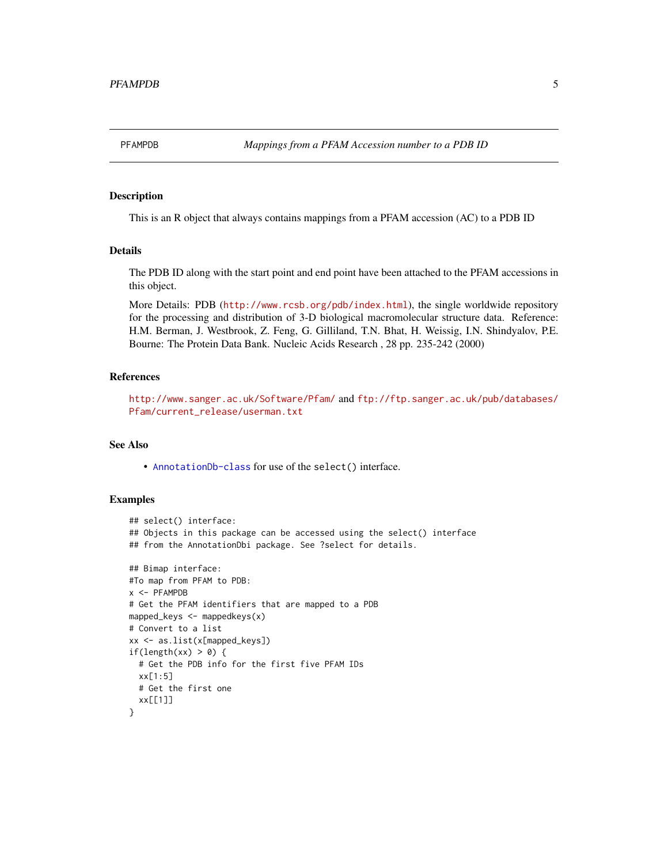<span id="page-4-0"></span>

This is an R object that always contains mappings from a PFAM accession (AC) to a PDB ID

# Details

The PDB ID along with the start point and end point have been attached to the PFAM accessions in this object.

More Details: PDB (<http://www.rcsb.org/pdb/index.html>), the single worldwide repository for the processing and distribution of 3-D biological macromolecular structure data. Reference: H.M. Berman, J. Westbrook, Z. Feng, G. Gilliland, T.N. Bhat, H. Weissig, I.N. Shindyalov, P.E. Bourne: The Protein Data Bank. Nucleic Acids Research , 28 pp. 235-242 (2000)

#### References

<http://www.sanger.ac.uk/Software/Pfam/> and [ftp://ftp.sanger.ac.uk/pub/databases/](ftp://ftp.sanger.ac.uk/pub/databases/Pfam/current_release/userman.txt) [Pfam/current\\_release/userman.txt](ftp://ftp.sanger.ac.uk/pub/databases/Pfam/current_release/userman.txt)

# See Also

• [AnnotationDb-class](#page-0-0) for use of the select() interface.

```
## select() interface:
## Objects in this package can be accessed using the select() interface
## from the AnnotationDbi package. See ?select for details.
## Bimap interface:
#To map from PFAM to PDB:
x <- PFAMPDB
# Get the PFAM identifiers that are mapped to a PDB
mapped_keys \leq mappedkeys(x)
# Convert to a list
xx <- as.list(x[mapped_keys])
if(length(xx) > 0) {
  # Get the PDB info for the first five PFAM IDs
  xx[1:5]
  # Get the first one
  xx[[1]]
}
```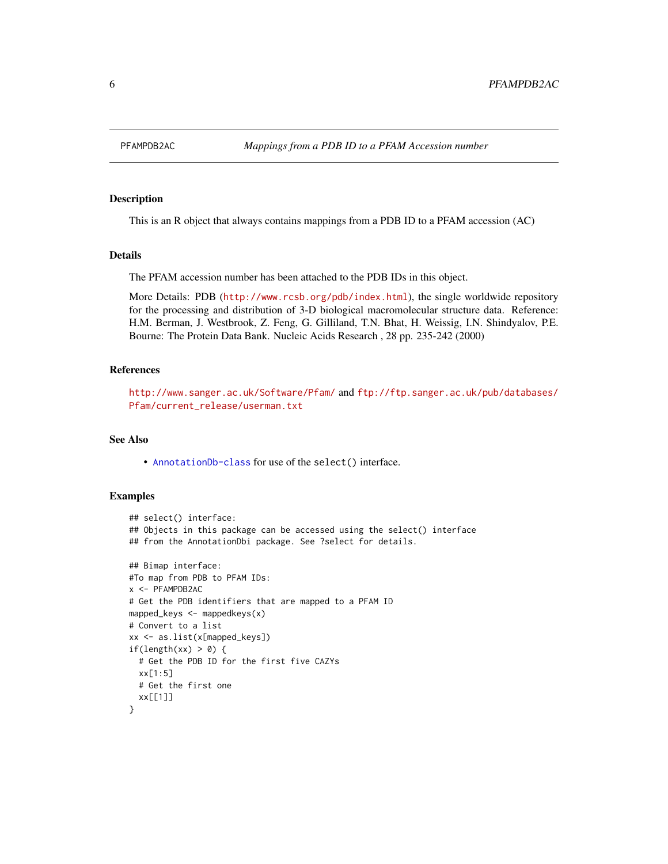<span id="page-5-0"></span>

This is an R object that always contains mappings from a PDB ID to a PFAM accession (AC)

#### Details

The PFAM accession number has been attached to the PDB IDs in this object.

More Details: PDB (<http://www.rcsb.org/pdb/index.html>), the single worldwide repository for the processing and distribution of 3-D biological macromolecular structure data. Reference: H.M. Berman, J. Westbrook, Z. Feng, G. Gilliland, T.N. Bhat, H. Weissig, I.N. Shindyalov, P.E. Bourne: The Protein Data Bank. Nucleic Acids Research , 28 pp. 235-242 (2000)

#### References

<http://www.sanger.ac.uk/Software/Pfam/> and [ftp://ftp.sanger.ac.uk/pub/databases/](ftp://ftp.sanger.ac.uk/pub/databases/Pfam/current_release/userman.txt) [Pfam/current\\_release/userman.txt](ftp://ftp.sanger.ac.uk/pub/databases/Pfam/current_release/userman.txt)

#### See Also

• [AnnotationDb-class](#page-0-0) for use of the select() interface.

```
## select() interface:
## Objects in this package can be accessed using the select() interface
## from the AnnotationDbi package. See ?select for details.
## Bimap interface:
#To map from PDB to PFAM IDs:
x <- PFAMPDB2AC
# Get the PDB identifiers that are mapped to a PFAM ID
mapped_keys <- mappedkeys(x)
# Convert to a list
xx <- as.list(x[mapped_keys])
if(length(xx) > 0) {
  # Get the PDB ID for the first five CAZYs
  xx[1:5]
  # Get the first one
  xx[[1]]
}
```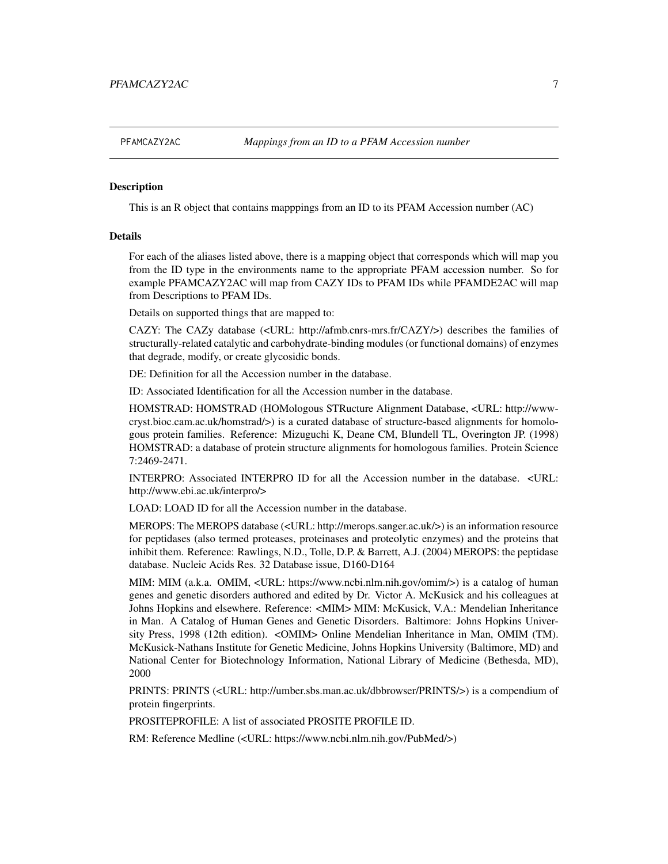<span id="page-6-0"></span>

This is an R object that contains mapppings from an ID to its PFAM Accession number (AC)

#### Details

For each of the aliases listed above, there is a mapping object that corresponds which will map you from the ID type in the environments name to the appropriate PFAM accession number. So for example PFAMCAZY2AC will map from CAZY IDs to PFAM IDs while PFAMDE2AC will map from Descriptions to PFAM IDs.

Details on supported things that are mapped to:

CAZY: The CAZy database (<URL: http://afmb.cnrs-mrs.fr/CAZY/>) describes the families of structurally-related catalytic and carbohydrate-binding modules (or functional domains) of enzymes that degrade, modify, or create glycosidic bonds.

DE: Definition for all the Accession number in the database.

ID: Associated Identification for all the Accession number in the database.

HOMSTRAD: HOMSTRAD (HOMologous STRucture Alignment Database, <URL: http://wwwcryst.bioc.cam.ac.uk/homstrad/>) is a curated database of structure-based alignments for homologous protein families. Reference: Mizuguchi K, Deane CM, Blundell TL, Overington JP. (1998) HOMSTRAD: a database of protein structure alignments for homologous families. Protein Science 7:2469-2471.

INTERPRO: Associated INTERPRO ID for all the Accession number in the database. <URL: http://www.ebi.ac.uk/interpro/>

LOAD: LOAD ID for all the Accession number in the database.

MEROPS: The MEROPS database (<URL: http://merops.sanger.ac.uk/>) is an information resource for peptidases (also termed proteases, proteinases and proteolytic enzymes) and the proteins that inhibit them. Reference: Rawlings, N.D., Tolle, D.P. & Barrett, A.J. (2004) MEROPS: the peptidase database. Nucleic Acids Res. 32 Database issue, D160-D164

MIM: MIM (a.k.a. OMIM, <URL: https://www.ncbi.nlm.nih.gov/omim/>) is a catalog of human genes and genetic disorders authored and edited by Dr. Victor A. McKusick and his colleagues at Johns Hopkins and elsewhere. Reference: <MIM> MIM: McKusick, V.A.: Mendelian Inheritance in Man. A Catalog of Human Genes and Genetic Disorders. Baltimore: Johns Hopkins University Press, 1998 (12th edition). <OMIM> Online Mendelian Inheritance in Man, OMIM (TM). McKusick-Nathans Institute for Genetic Medicine, Johns Hopkins University (Baltimore, MD) and National Center for Biotechnology Information, National Library of Medicine (Bethesda, MD), 2000

PRINTS: PRINTS (<URL: http://umber.sbs.man.ac.uk/dbbrowser/PRINTS/>) is a compendium of protein fingerprints.

PROSITEPROFILE: A list of associated PROSITE PROFILE ID.

RM: Reference Medline (<URL: https://www.ncbi.nlm.nih.gov/PubMed/>)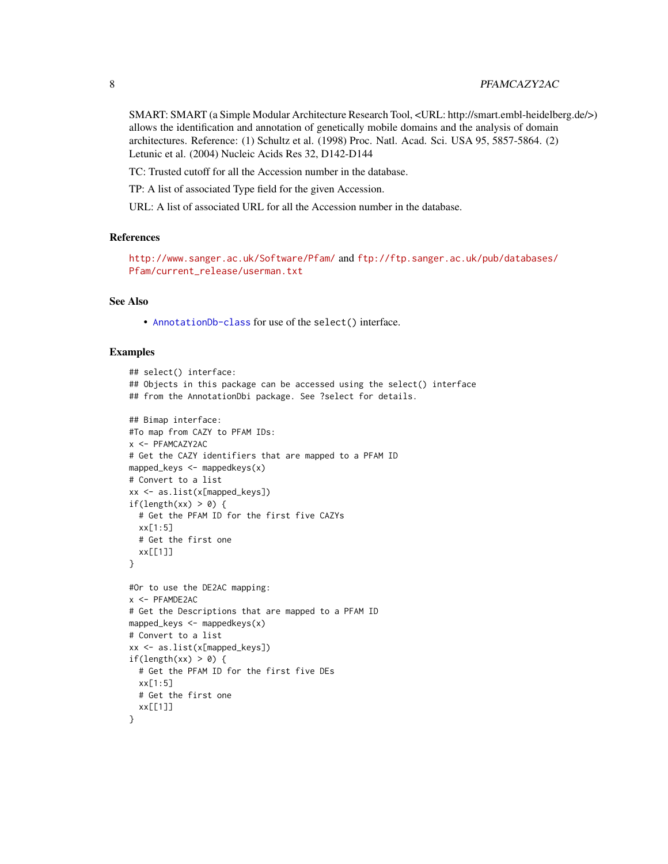# 8 PFAMCAZY2AC

SMART: SMART (a Simple Modular Architecture Research Tool, <URL: http://smart.embl-heidelberg.de/>) allows the identification and annotation of genetically mobile domains and the analysis of domain architectures. Reference: (1) Schultz et al. (1998) Proc. Natl. Acad. Sci. USA 95, 5857-5864. (2) Letunic et al. (2004) Nucleic Acids Res 32, D142-D144

TC: Trusted cutoff for all the Accession number in the database.

TP: A list of associated Type field for the given Accession.

URL: A list of associated URL for all the Accession number in the database.

# **References**

<http://www.sanger.ac.uk/Software/Pfam/> and [ftp://ftp.sanger.ac.uk/pub/databases/](ftp://ftp.sanger.ac.uk/pub/databases/Pfam/current_release/userman.txt) [Pfam/current\\_release/userman.txt](ftp://ftp.sanger.ac.uk/pub/databases/Pfam/current_release/userman.txt)

#### See Also

• [AnnotationDb-class](#page-0-0) for use of the select() interface.

```
## select() interface:
## Objects in this package can be accessed using the select() interface
## from the AnnotationDbi package. See ?select for details.
## Bimap interface:
#To map from CAZY to PFAM IDs:
x <- PFAMCAZY2AC
# Get the CAZY identifiers that are mapped to a PFAM ID
mapped_keys <- mappedkeys(x)
# Convert to a list
xx <- as.list(x[mapped_keys])
if(length(xx) > 0) {
  # Get the PFAM ID for the first five CAZYs
  xx[1:5]
  # Get the first one
  xx[[1]]
}
#Or to use the DE2AC mapping:
x <- PFAMDE2AC
# Get the Descriptions that are mapped to a PFAM ID
mapped_keys <- mappedkeys(x)
# Convert to a list
xx <- as.list(x[mapped_keys])
if(length(xx) > 0) {
  # Get the PFAM ID for the first five DEs
  xx[1:5]
  # Get the first one
  xx[[1]]
}
```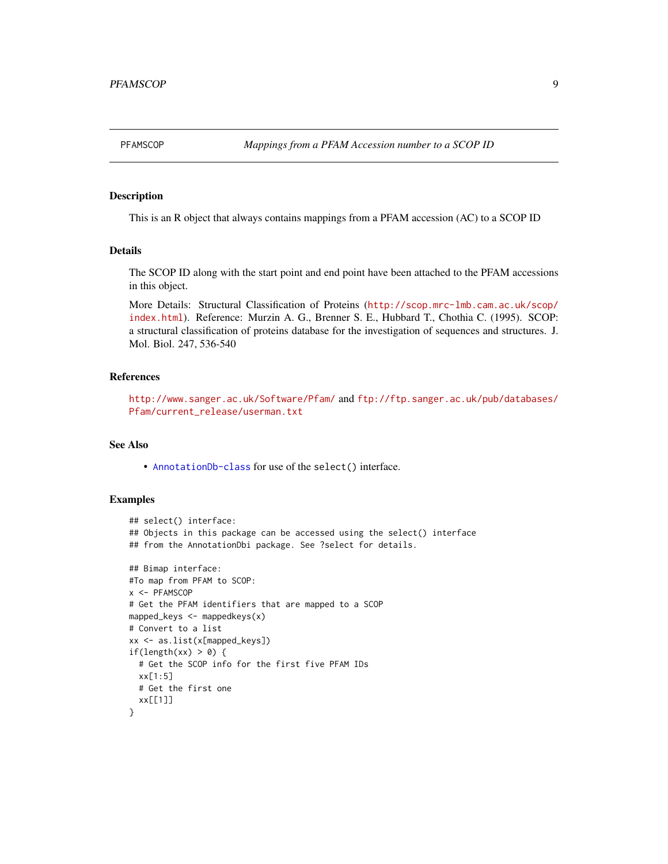<span id="page-8-0"></span>

This is an R object that always contains mappings from a PFAM accession (AC) to a SCOP ID

# Details

The SCOP ID along with the start point and end point have been attached to the PFAM accessions in this object.

More Details: Structural Classification of Proteins ([http://scop.mrc-lmb.cam.ac.uk/scop/](http://scop.mrc-lmb.cam.ac.uk/scop/index.html) [index.html](http://scop.mrc-lmb.cam.ac.uk/scop/index.html)). Reference: Murzin A. G., Brenner S. E., Hubbard T., Chothia C. (1995). SCOP: a structural classification of proteins database for the investigation of sequences and structures. J. Mol. Biol. 247, 536-540

#### References

<http://www.sanger.ac.uk/Software/Pfam/> and [ftp://ftp.sanger.ac.uk/pub/databases/](ftp://ftp.sanger.ac.uk/pub/databases/Pfam/current_release/userman.txt) [Pfam/current\\_release/userman.txt](ftp://ftp.sanger.ac.uk/pub/databases/Pfam/current_release/userman.txt)

# See Also

• [AnnotationDb-class](#page-0-0) for use of the select() interface.

```
## select() interface:
## Objects in this package can be accessed using the select() interface
## from the AnnotationDbi package. See ?select for details.
## Bimap interface:
#To map from PFAM to SCOP:
x <- PFAMSCOP
# Get the PFAM identifiers that are mapped to a SCOP
mapped_keys <- mappedkeys(x)
# Convert to a list
xx <- as.list(x[mapped_keys])
if(length(xx) > 0) {
  # Get the SCOP info for the first five PFAM IDs
  xx[1:5]
  # Get the first one
  xx[[1]]
}
```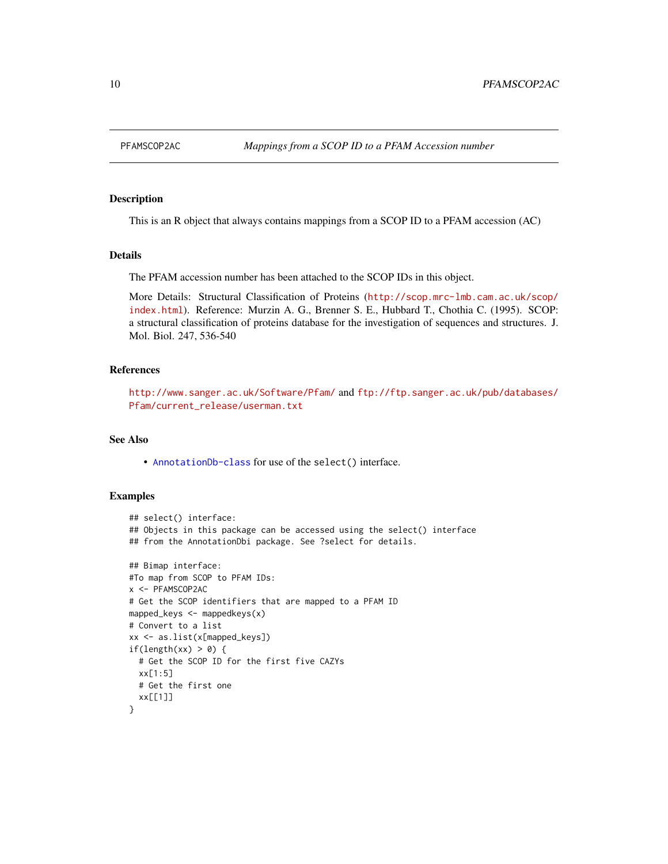<span id="page-9-0"></span>

This is an R object that always contains mappings from a SCOP ID to a PFAM accession (AC)

#### Details

The PFAM accession number has been attached to the SCOP IDs in this object.

More Details: Structural Classification of Proteins ([http://scop.mrc-lmb.cam.ac.uk/scop/](http://scop.mrc-lmb.cam.ac.uk/scop/index.html) [index.html](http://scop.mrc-lmb.cam.ac.uk/scop/index.html)). Reference: Murzin A. G., Brenner S. E., Hubbard T., Chothia C. (1995). SCOP: a structural classification of proteins database for the investigation of sequences and structures. J. Mol. Biol. 247, 536-540

#### References

```
http://www.sanger.ac.uk/Software/Pfam/ and ftp://ftp.sanger.ac.uk/pub/databases/
Pfam/current_release/userman.txt
```
#### See Also

• [AnnotationDb-class](#page-0-0) for use of the select() interface.

```
## select() interface:
## Objects in this package can be accessed using the select() interface
## from the AnnotationDbi package. See ?select for details.
## Bimap interface:
#To map from SCOP to PFAM IDs:
x <- PFAMSCOP2AC
# Get the SCOP identifiers that are mapped to a PFAM ID
mapped_keys <- mappedkeys(x)
# Convert to a list
xx <- as.list(x[mapped_keys])
if(length(xx) > 0) {
  # Get the SCOP ID for the first five CAZYs
  xx[1:5]
  # Get the first one
  xx[[1]]
}
```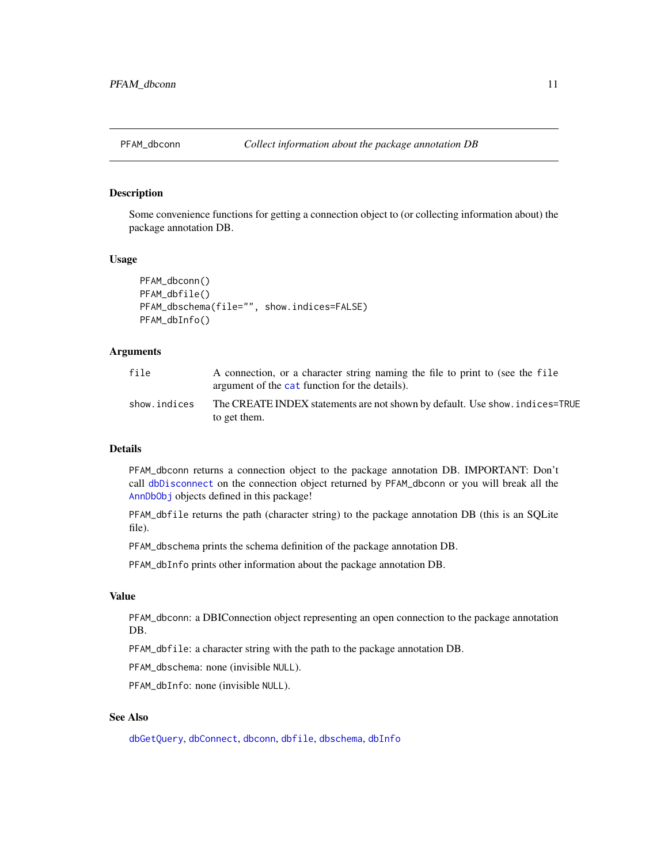<span id="page-10-0"></span>

Some convenience functions for getting a connection object to (or collecting information about) the package annotation DB.

#### Usage

```
PFAM_dbconn()
PFAM_dbfile()
PFAM_dbschema(file="", show.indices=FALSE)
PFAM_dbInfo()
```
# Arguments

| file         | A connection, or a character string naming the file to print to (see the file<br>argument of the cat function for the details). |
|--------------|---------------------------------------------------------------------------------------------------------------------------------|
| show.indices | The CREATE INDEX statements are not shown by default. Use show, indices=TRUE<br>to get them.                                    |

# Details

PFAM\_dbconn returns a connection object to the package annotation DB. IMPORTANT: Don't call [dbDisconnect](#page-0-0) on the connection object returned by PFAM\_dbconn or you will break all the [AnnDbObj](#page-0-0) objects defined in this package!

PFAM\_dbfile returns the path (character string) to the package annotation DB (this is an SQLite file).

PFAM\_dbschema prints the schema definition of the package annotation DB.

PFAM\_dbInfo prints other information about the package annotation DB.

#### Value

PFAM\_dbconn: a DBIConnection object representing an open connection to the package annotation DB.

PFAM\_dbfile: a character string with the path to the package annotation DB.

PFAM\_dbschema: none (invisible NULL).

PFAM\_dbInfo: none (invisible NULL).

# See Also

[dbGetQuery](#page-0-0), [dbConnect](#page-0-0), [dbconn](#page-0-0), [dbfile](#page-0-0), [dbschema](#page-0-0), [dbInfo](#page-0-0)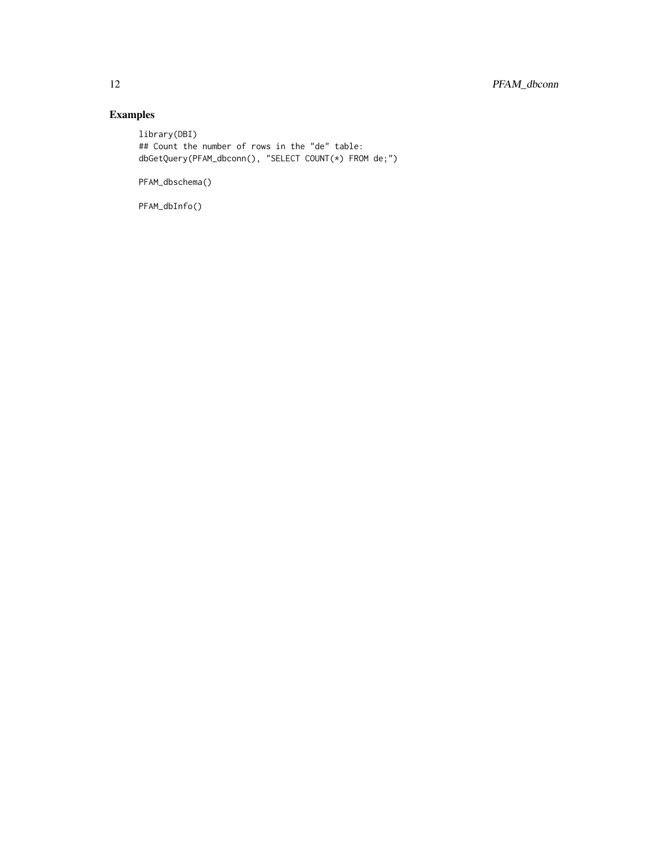# Examples

library(DBI) ## Count the number of rows in the "de" table: dbGetQuery(PFAM\_dbconn(), "SELECT COUNT(\*) FROM de;")

PFAM\_dbschema()

PFAM\_dbInfo()